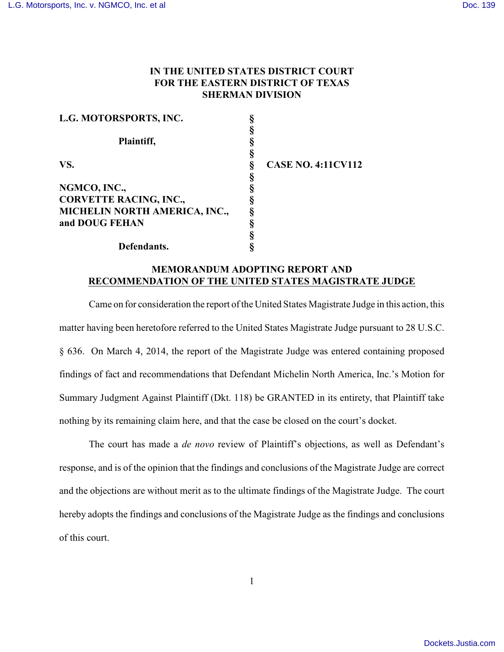## **IN THE UNITED STATES DISTRICT COURT FOR THE EASTERN DISTRICT OF TEXAS SHERMAN DIVISION**

| L.G. MOTORSPORTS, INC.        |                           |
|-------------------------------|---------------------------|
|                               |                           |
| Plaintiff,                    |                           |
|                               |                           |
| VS.                           | <b>CASE NO. 4:11CV112</b> |
|                               |                           |
| NGMCO, INC.,                  |                           |
| <b>CORVETTE RACING, INC.,</b> |                           |
| MICHELIN NORTH AMERICA, INC., |                           |
| and DOUG FEHAN                |                           |
|                               |                           |
| Defendants.                   |                           |

## **MEMORANDUM ADOPTING REPORT AND RECOMMENDATION OF THE UNITED STATES MAGISTRATE JUDGE**

Came on for consideration the report of the United States Magistrate Judge in this action, this matter having been heretofore referred to the United States Magistrate Judge pursuant to 28 U.S.C. § 636. On March 4, 2014, the report of the Magistrate Judge was entered containing proposed findings of fact and recommendations that Defendant Michelin North America, Inc.'s Motion for Summary Judgment Against Plaintiff (Dkt. 118) be GRANTED in its entirety, that Plaintiff take nothing by its remaining claim here, and that the case be closed on the court's docket.

The court has made a *de novo* review of Plaintiff's objections, as well as Defendant's response, and is of the opinion that the findings and conclusions of the Magistrate Judge are correct and the objections are without merit as to the ultimate findings of the Magistrate Judge. The court hereby adopts the findings and conclusions of the Magistrate Judge as the findings and conclusions of this court.